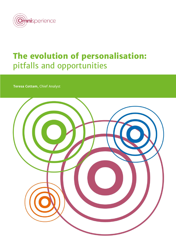

# **The evolution of personalisation:** pitfalls and opportunities

**Teresa Cottam**, Chief Analyst

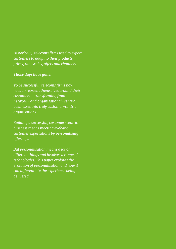*Historically, telecoms firms used to expect customers to adapt to their products, prices, timescales, offers and channels.*

### *Those days have gone.*

*To be successful, telecoms firms now need to reorient themselves around their customers – transforming from network- and organisational-centric businesses into truly customer-centric organisations.*

*Building a successful, customer-centric business means meeting evolving customer expectations by personalising offerings.* 

*But personalisation means a lot of different things and involves a range of technologies. This paper explores the evolution of personalisation and how it can differentiate the experience being delivered.*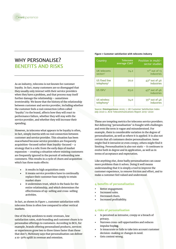

# WHY PFRSONALISE? BENEFITS AND RISKS

As an industry, telecoms is not known for customer loyalty. In fact, many customers are so disengaged that they usually only interact with their service providers when they have a problem, and that process may itself further damage the relationship – sometimes irretrievably. We know that the history of the relationship between customer and service provider, including whether the customer feels a real connection (often called 'loyalty') to the brand, affects how they will react to performance failure, whether they will stay with the service provider, and whether they will increase their spending.

However, in telecoms what appears to be loyalty is often, in fact, simply inertia with no real connection between customer and service provider. This situation has been exacerbated because service providers are frequently acquisition-focused rather than loyalty-focused – a strategy that is a relic from the early days of market expansion – creating a situation where existing customers are frequently ignored in the pursuit of onboarding new customers. This results in a cycle of churn and acquisition which has three main effects:

- it results in high acquisition costs
- it means service providers have to continually replace their customer base simply to retain market share
- it undermines trust, which is the basis for the entire relationship, and which determines the effectiveness of up-selling and cross-selling activities.

In fact, as shown in *Figure 1*, customer satisfaction with telecoms firms is often low compared to other vertical markets.

One of the key antidotes to static revenues, low satisfaction rates, stale branding and customer churn is to personalise offerings to customers. According to BCG, for example, brands offering personalised products, services or experiences grow two to three times faster than those that don't; McKinsey says that personalisation can deliver a 10-30% uplift in revenue and retention.

#### **Figure 1 Customer satisfaction with telecoms industry**

| Country                                      | <b>Telecoms</b><br>average CSAT | Position in multi-<br>sector studies       |
|----------------------------------------------|---------------------------------|--------------------------------------------|
| UK telecoms<br>sector1 <sup>1</sup>          | 74.2                            | $11th$ out of 13<br>industries             |
| US fixed line<br>telephony <sup>2</sup>      | 70.0                            | $43^{\text{rd}}$ out of $46$<br>industries |
| $US$ $ISPs2$                                 | 65.0                            | $45^{\text{th}}$ out of 46<br>industries   |
| <b>US wireless</b><br>telephony <sup>2</sup> | 74.0                            | $35th$ out of 46<br>industries             |

Source: **Omnisperience** 2020; 1. UK Customer Satisfaction Index July 2020 2. ACSI Telecommunications Report 2019-2020

These are tempting metrics for telecoms service providers. But delivering 'personalisation' is fraught with challenges and even the term is vague and misunderstood. For example, there is considerable variation in the degree of personalisation, as well as where it is applied. It is also not certain that all customers desire personalisation. Some might find it intrusive or even creepy; others might find it limiting. Personalisation is also not static – it continues to evolve both in degree and in application, as well as in terms of acceptance and expectation.

Like anything else, done badly personalisation can cause more problems than it solves. Doing it well means understanding that it is simply a tool to improve the customer experience, to remove friction and effort, and to make a customer feel valued and understood.

#### **4 benefits of personalisation**

- Better engagement.
- Increased sales.
- Decreased churn.
- Increased profitability.

### **4 risks of personalisation**

- Is perceived as intrusive, creepy or a breach of privacy.
- Narrows cross-sell opportunities and reduces impulse buy**ing**.
- Is innacurate or fails to take into account customer decision-making or changes in need.
- Gets context wrong.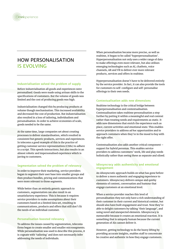

## HOW PERSONALISATION IS EVOLVING

#### **Industrialisation solved the problem of supply**

Before industrialisation all goods and experiences were personalised. Goods were made using artisan skills to the specifications of customers. But the volume of goods was limited and the cost of producing goods was high.

Industrialisation changed this by producing products at volume though mechanisation. This increased availability and decreased the cost of production. But industrialisation also resulted in a loss of tailoring, individualism and personalisation. In order to achieve economies of scale, goods needed to be the same.

At the same time, large companies set about creating processes to deliver standardisation, which resulted in consistent but generic products, services and experiences. In telecoms a good example of this is the practice of getting customer service representatives (CSRs) to adhere to a script. This speeds interactions, but also results in an almost robotic and impersonalised experience which is jarring to customers.

#### **Segmentation solved the problem of relevancy**

In order to improve their marketing, service providers began to segment their user base into smaller groups and then produce bundles, pricing and communications that were more relevant to those segments.

While better than an entirely generic approach to customers, segmentation can also result in an unsatisfactory experience. This is because it requires service providers to make assumptions about their customers based on a limited data set, resulting in communications, products and offers that still don't fit the needs of an individual customer.

#### **Personalisation boosted relevancy**

To address the issues caused by segmentation, telecoms firms began to create smaller and smaller microsegments. While personalisation was used to describe this process, it is cognate with 'tailoring' and does not necessarily infer addressing the needs of individuals.

When personalisation became more precise, as well as realtime, it began to be called 'hyperpersonalisation'. Hyperpersonalisation not only uses a wider range of data to make offerings even more relevant, but also utilises emerging technologies such as AI, chatbots, voice channels, AR and VR to deliver ever more relevant products, services and offers in realtime.

Hyperpersonalisation doesn't have to be delivered entirely by the service provider. In fact, it can also provide the tools for customers to self-configure and self-personalise offerings to their own needs.

#### **Contextualisation adds new dimensions**

Realtime technology is the critical bridge between hyperpersonalisation and contextualisation. Contexualisation takes realtime personalisation a step further by putting it within a meaningful and real context rather than treating needs and requirements as static. It adds new dimensions that enrich the experience such as place, current activities and emotional state. This enables service providers to address *ad hoc* opportunities and to approach customers when they're in the mood to buy with the right offer.

Contextualisation also adds another critical component – support for hybrid personas. This enables service providers to address customers' work, life and play needs holistically rather than seeing these as separate and siloed.

#### **Idiosyncracy adds authenticity and emotional engagement**

An idiosyncratic approach builds on what has gone before to deliver a more authentic and engaging experience to customers. Idiosyncracy delivers unique and quirky elements of content, conversation and humour that engage customers at an emotional level.

When a service provider reaches this level of personalisation they not only have a rich understanding of their customer in their current and historical context, but should also have built engagement and trust. Now they're able to delight customers by talking 'their language', and using novel and unexpected elements. Idiosyncracy is memorable because it creates an emotional reaction. It is something that is uniquely human because the current generation of AIs cannot deliver it.

However, getting technology to do the heavy lifting by providing accurate insights, enables staff to concentrate be creative and authentic in how they engage customers.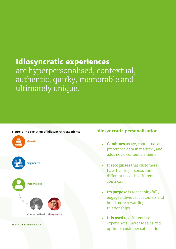# **Idiosyncratic experiences** are hyperpersonalised, contextual, authentic, quirky, memorable and ultimately unique.



**Figure 2 The evolution of idiosyncratic experience**

Source: Omnisperience 2020

### **Idiosyncratic personalisation**

- **Combines** usage, contextual and preference data in realtime, and adds novel content elements.
- It recognises that customers have hybrid personas and different needs in different contexts.
- **Its purpose** is to meaningfully engage individual customers and build more rewarding relationships.
- **It is used** to differentiate experiences, increase sales and optimise customer satisfaction.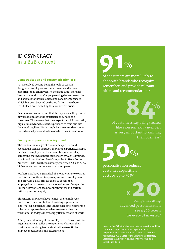# IDIOSYNCRACY in a B2B context

#### **Democratisation and consumerisation of IT**

IT has evolved beyond being the tools of certain designated employees and departments and is now essential for all employees. At the same time, there has been a rise in 'dual use' – people using devices, networks and services for both business and consumer purposes – which has been boosted by the Work from Anywhere trend, itself accelerated by the coronavirus crisis.

Business users now expect that the experience they receive in work is similar to the experience they have as a consumer. This means that they expect their idiosyncratic, highly tailored and relevant experience to continue into their working lives. Work simply becomes another context that advanced personalisation needs to take into account.

#### **Employee experience is a key trend**

The foundation of a great customer experience and successful business is a good employee experience. Happy, motivated employees deliver better business results, something that was empiracally shown by Alex Edmunds, who found that the '100 Best Companies to Work For in America' (1984-2011) consistently generated 2.3% to 3.8% higher stock returns per year than their peers<sup>3</sup>.

Workers now have a great deal of choice where to work, as the internet continues to open up access to employment and provides a platform for them to become selfemployed or to run micro or nanobusinesses. Competition for the best workers has never been fiercer and certain skills are in short supply.

This means employers have to meet their employees' needs more than ever before. Providing a generic onesize-fits-all experience is no longer adequate. Neither is a role-based approach (equivalent to segmenting the workforce) in today's increasingly flexible world of work.

A deep understanding of the employee's needs means that organisations can tailor the experience wherever their workers are working (contextualisation) to optimise employee satisfaction and effectiveness.

**91**  $\frac{O}{O}$ 

of consumers are more likely to shop with brands who recognize, remember, and provide relevant offers and recommendations<sup>4</sup>

**84**%

of customers say being treated like a person, not a number, is very important to winning their business<sup>5</sup>

**50**%

personalisation reduces customer acquisition costs by up to 50%<sup>6</sup>

<sup>x</sup>**20**

companies using advanced personalisation see a \$20 return for every \$1 invested7

Notes: 3. See 'The Link Between Job Satisfaction and Firm Value,With Implications for Corporate Social Responsibility,' Alex Edmans 4. Making it Personal, Accenture, 2018 5. State of the Connected Customer, Salesforce 6. Adweek 7. The Relevancy Group and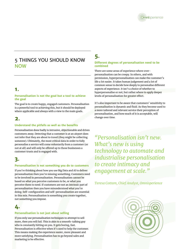

### 5 THINGS YOU SHOULD KNOW NOW

### **1.**

#### **Personalisation is not the goal but a tool to achieve the goal**

The goal is to create happy, engaged customers. Personalisation is a powerful tool to achieving this, but it should be deployed where applicable and always with a view to the main goals.

### **2.**

### **Understand the pitfalls as well as the benefits**

Personalisation done badly is intrusive, objectionable and drives customers away. Detecting that a customer is at an airport does not infer that they are about to travel (they might be collecting someone). Ultimately, the most critical data in order to fully personalise a service will come voluntarily from a customer (or not at all) and will only be offered up to those businesses a customer trusts and is engaged with.

### **3.**

### **Personalisation is not something you do to customers**

If you're thinking about how you use Big Data and AI to deliver personalisation then you're missing something. Customers need to be involved in personalisation. Personalisation cannot be based on what you perceive customers to be, or what you perceive them to need. If customers are not an intrinsic part of personalisation then you have misunderstood what you're doing. Self-configuration and self-personalisation are essential in this mix. Personalisation is something you create together, not something you impose.

# **4.**

### **Personalisation is not just about selling**

If you only use personalisation techniques to attempt to sell more, then you will fail. This is akin to a smooth-talking guy who is constantly hitting on you. It gets boring, fast. Personalisation is effective when it's used to help the customer. This means making the experience easier, more pleasant and more satisfying. Personalisation has to go beyond sales and marketing to be effective.

# **5.**

#### **Different degrees of personalisation need to be combined**

There are some areas of experience where overpersonalisation can be creepy. In others, and with permission, hyperpersonalisation can make the customer's life a lot easier. It takes human judgement and a lot of common sense to decide how deeply to personalise different aspects of experience. It isn't a choice of whether to hyperpersonalise or not; but rather where to apply deeper levels of personalisation for greater effect.

It's also important to be aware that customers' sensitivity to personalisation is dynamic and fluid. As they become used to a more tailored and relevant service their perception of personalisation, and how much of it is acceptable, will change over time.

*"Personalisation isn't new. What's new is using technology to automate and industrialise personalisation to create intimacy and engagement at scale."*

*Teresa Cottam, Chief Analyst, Omnisperience*